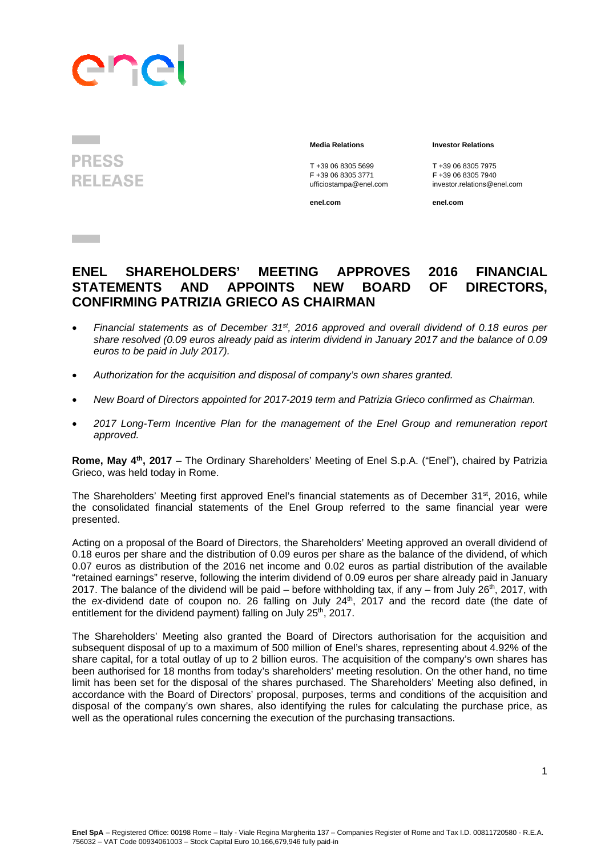## ane

**PRESS RELEASE** 

T +39 06 8305 5699<br>
F +39 06 8305 3771<br>
F +39 06 8305 3771<br>
F +39 06 8305 7940

**enel.com enel.com**

## **Media Relations Investor Relations**

F +39 06 8305 3771 F +39 06 8305 7940 ufficiostampa@enel.com investor.relations@enel.com

## **ENEL SHAREHOLDERS' MEETING APPROVES 2016 FINANCIAL STATEMENTS AND APPOINTS NEW BOARD OF DIRECTORS, CONFIRMING PATRIZIA GRIECO AS CHAIRMAN**

- *Financial statements as of December 31st, 2016 approved and overall dividend of 0.18 euros per share resolved (0.09 euros already paid as interim dividend in January 2017 and the balance of 0.09 euros to be paid in July 2017).*
- *Authorization for the acquisition and disposal of company's own shares granted.*
- *New Board of Directors appointed for 2017-2019 term and Patrizia Grieco confirmed as Chairman.*
- *2017 Long-Term Incentive Plan for the management of the Enel Group and remuneration report approved.*

**Rome, May 4th, 2017** – The Ordinary Shareholders' Meeting of Enel S.p.A. ("Enel"), chaired by Patrizia Grieco, was held today in Rome.

The Shareholders' Meeting first approved Enel's financial statements as of December 31<sup>st</sup>, 2016, while the consolidated financial statements of the Enel Group referred to the same financial year were presented.

Acting on a proposal of the Board of Directors, the Shareholders' Meeting approved an overall dividend of 0.18 euros per share and the distribution of 0.09 euros per share as the balance of the dividend, of which 0.07 euros as distribution of the 2016 net income and 0.02 euros as partial distribution of the available "retained earnings" reserve, following the interim dividend of 0.09 euros per share already paid in January 2017. The balance of the dividend will be paid – before withholding tax, if any – from July  $26<sup>th</sup>$ , 2017, with the ex-dividend date of coupon no. 26 falling on July 24<sup>th</sup>, 2017 and the record date (the date of entitlement for the dividend payment) falling on July 25<sup>th</sup>, 2017.

The Shareholders' Meeting also granted the Board of Directors authorisation for the acquisition and subsequent disposal of up to a maximum of 500 million of Enel's shares, representing about 4.92% of the share capital, for a total outlay of up to 2 billion euros. The acquisition of the company's own shares has been authorised for 18 months from today's shareholders' meeting resolution. On the other hand, no time limit has been set for the disposal of the shares purchased. The Shareholders' Meeting also defined, in accordance with the Board of Directors' proposal, purposes, terms and conditions of the acquisition and disposal of the company's own shares, also identifying the rules for calculating the purchase price, as well as the operational rules concerning the execution of the purchasing transactions.